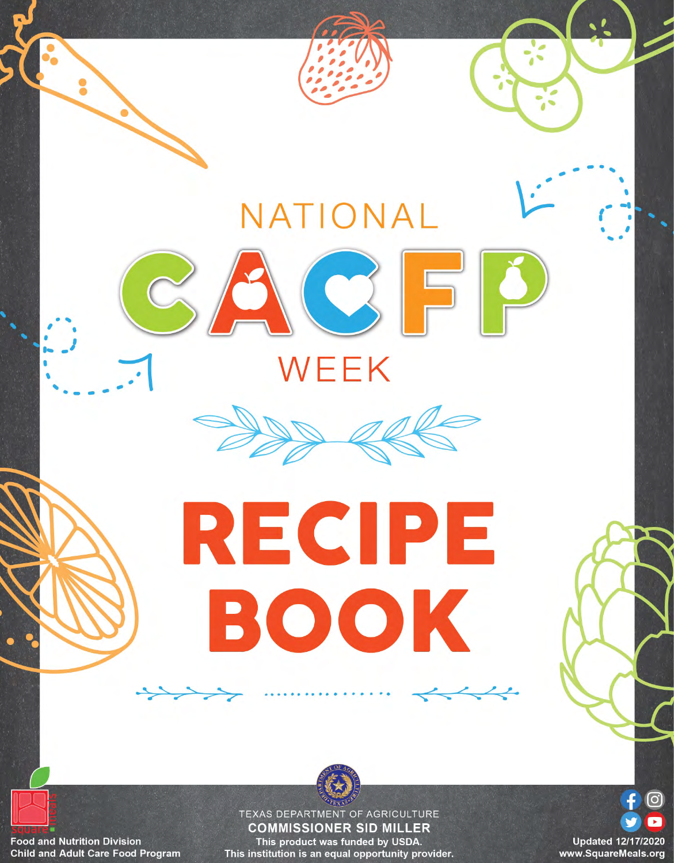

**Food and Nutrition Division Child and Adult Care Food Program** 

**COMMISSIONER SID MILLER** This product was funded by USDA. This institution is an equal opportunity provider.

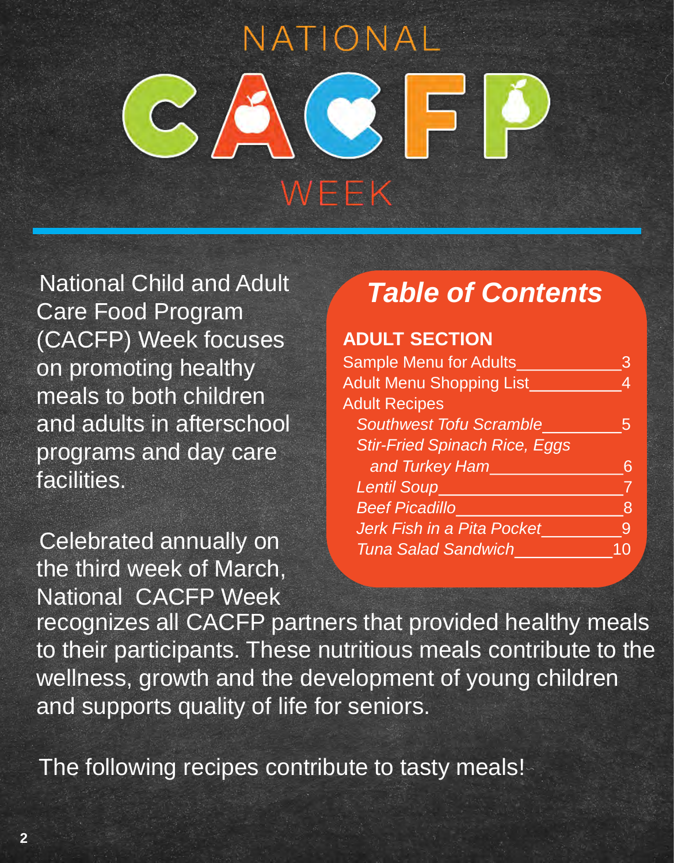# NATIONAL **CE** WEEK

National Child and Adult Care Food Program (CACFP) Week focuses on promoting healthy meals to both children and adults in afterschool programs and day care facilities.

Celebrated annually on the third week of March, National CACFP Week

# *Table of Contents*

#### **ADULT SECTION**

| <b>Sample Menu for Adults</b>        | 3 |
|--------------------------------------|---|
| <b>Adult Menu Shopping List</b>      |   |
| <b>Adult Recipes</b>                 |   |
| <b>Southwest Tofu Scramble</b>       | h |
| <b>Stir-Fried Spinach Rice, Eggs</b> |   |
| and Turkey Ham                       |   |
| <b>Lentil Soup_</b>                  |   |
| <b>Beef Picadillo</b>                | 8 |
| Jerk Fish in a Pita Pocket           | 9 |
| <b>Tuna Salad Sandwich</b>           |   |
|                                      |   |

recognizes all CACFP partners that provided healthy meals to their participants. These nutritious meals contribute to the wellness, growth and the development of young children and supports quality of life for seniors.

The following recipes contribute to tasty meals!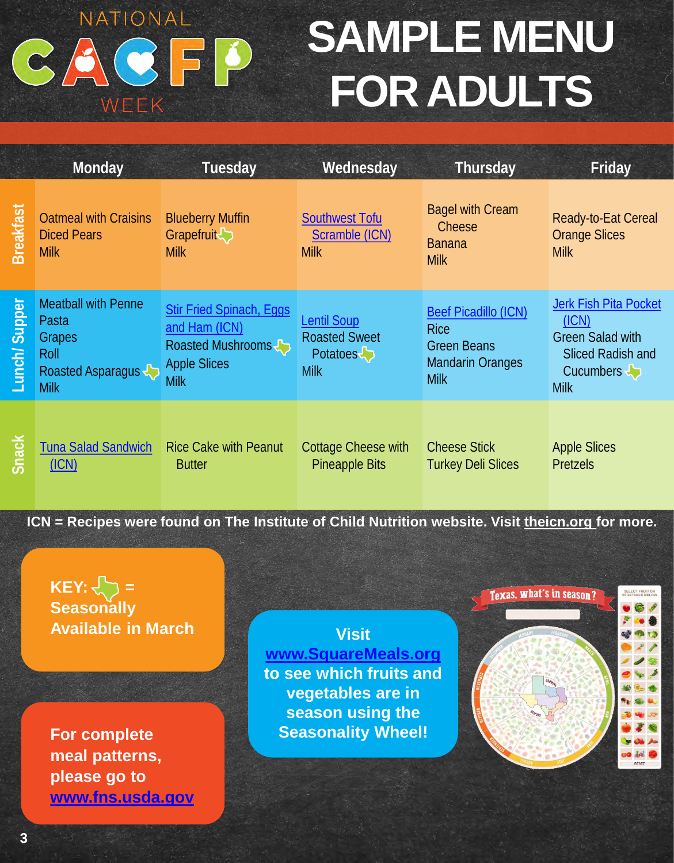# **SAMPLE MENU** CACFP **FOR ADULTS**

|                  | Monday                                                                                           | Tuesday                                                                                                     | Wednesday                                                                      | Thursday                                                                                                   | Friday                                                                                                                                                                           |
|------------------|--------------------------------------------------------------------------------------------------|-------------------------------------------------------------------------------------------------------------|--------------------------------------------------------------------------------|------------------------------------------------------------------------------------------------------------|----------------------------------------------------------------------------------------------------------------------------------------------------------------------------------|
| <b>Breakfast</b> | <b>Oatmeal with Craisins</b><br><b>Diced Pears</b><br><b>Milk</b>                                | <b>Blueberry Muffin</b><br>Grapefruit <sup>&gt;</sup><br><b>Milk</b>                                        | <b>Southwest Tofu</b><br>Scramble (ICN)<br><b>Milk</b>                         | <b>Bagel with Cream</b><br>Cheese<br><b>Banana</b><br><b>Milk</b>                                          | Ready-to-Eat Cereal<br><b>Orange Slices</b><br><b>Milk</b>                                                                                                                       |
| Supper<br>Lunch/ | <b>Meatball with Penne</b><br>Pasta<br><b>Grapes</b><br>Roll<br>Roasted Asparagus<br><b>Milk</b> | <b>Stir Fried Spinach, Eggs</b><br>and Ham (ICN)<br>Roasted Mushrooms<br><b>Apple Slices</b><br><b>Milk</b> | <b>Lentil Soup</b><br><b>Roasted Sweet</b><br>Potatoes <b>b</b><br><b>Milk</b> | <b>Beef Picadillo (ICN)</b><br><b>Rice</b><br><b>Green Beans</b><br><b>Mandarin Oranges</b><br><b>Milk</b> | <b>Jerk Fish Pita Pocket</b><br>(ICN)<br><b>Green Salad with</b><br><b>Sliced Radish and</b><br>Cucumbers $\begin{array}{c} \downarrow \\ \downarrow \end{array}$<br><b>Milk</b> |
| Snack            | <b>Tuna Salad Sandwich</b><br>(ICN)                                                              | <b>Rice Cake with Peanut</b><br><b>Butter</b>                                                               | <b>Cottage Cheese with</b><br><b>Pineapple Bits</b>                            | <b>Cheese Stick</b><br><b>Turkey Deli Slices</b>                                                           | <b>Apple Slices</b><br><b>Pretzels</b>                                                                                                                                           |

NATIONAL

WEEK

**ICN = Recipes were found on The Institute of Child Nutrition website. Visit [theicn.org f](https://theicn.org/)or more.**

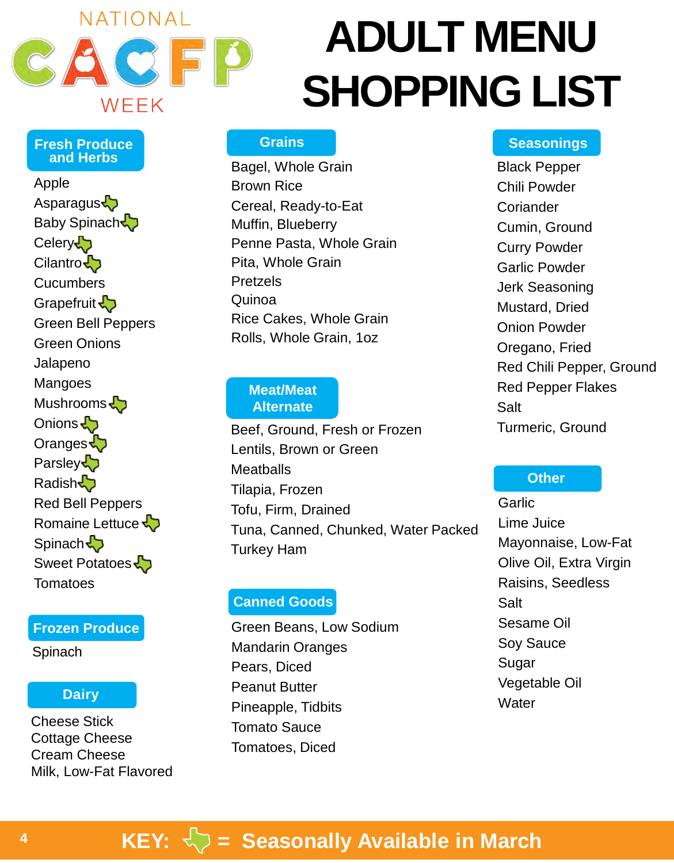

**Fresh Produce and Herbs**

Asparagus Baby Spinach

Green Bell Peppers

Green Onions

Mushrooms<sup>1</sup>

Jalapeno Mangoes

Onions Oranges **Parsley** Radish<sup>1</sup>

**Celery** Cilantro **Cucumbers** Grapefruit  $\sqrt{2}$ 

Apple

# **ADULT MENU SHOPPING LIST**

#### **Grains**

Bagel, Whole Grain Brown Rice Cereal, Ready-to-Eat Muffin, Blueberry Penne Pasta, Whole Grain Pita, Whole Grain Pretzels Quinoa Rice Cakes, Whole Grain Rolls, Whole Grain, 1oz

#### **Meat/Meat Alternate**

Beef, Ground, Fresh or Frozen Lentils, Brown or Green **Meatballs** Tilapia, Frozen Tofu, Firm, Drained Tuna, Canned, Chunked, Water Packed Turkey Ham

#### **Canned Goods**

Green Beans, Low Sodium Mandarin Oranges Pears, Diced Peanut Butter Pineapple, Tidbits Tomato Sauce Tomatoes, Diced

#### **Seasonings**

Black Pepper Chili Powder **Coriander** Cumin, Ground Curry Powder Garlic Powder Jerk Seasoning Mustard, Dried Onion Powder Oregano, Fried Red Chili Pepper, Ground Red Pepper Flakes Salt Turmeric, Ground

#### **Other**

**Garlic** Lime Juice Mayonnaise, Low-Fat Olive Oil, Extra Virgin Raisins, Seedless **Salt** Sesame Oil Soy Sauce Sugar Vegetable Oil **Water** 

## **KEY:**  $\left\langle \right\rangle$  = Seasonally Available in March

#### Spinach  $\bigodot$ Sweet Potatoes

**Tomatoes** 

#### **Frozen Produce**

Red Bell Peppers Romaine Lettuce

**Spinach** 

#### **Dairy**

Cheese Stick Cottage Cheese Cream Cheese Milk, Low-Fat Flavored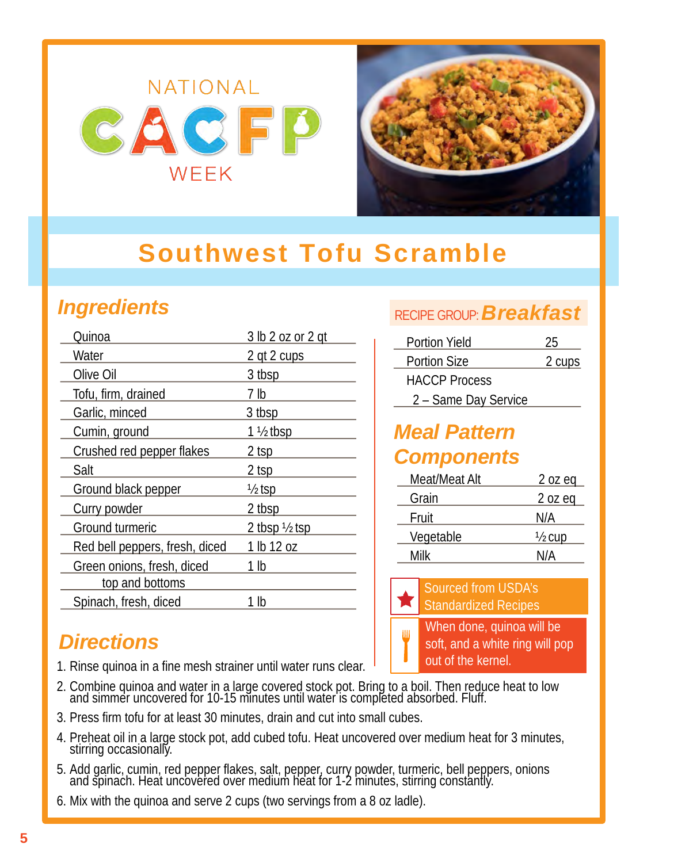

# <span id="page-4-0"></span>**Southwest Tofu Scramble**

## *Ingredients*

| Quinoa                         | 3 lb 2 oz or 2 gt        |
|--------------------------------|--------------------------|
| Water                          | 2 qt 2 cups              |
| Olive Oil                      | 3 tbsp                   |
| Tofu, firm, drained            | 7 lb                     |
| Garlic, minced                 | 3 tbsp                   |
| Cumin, ground                  | $1\frac{1}{2}$ tbsp      |
| Crushed red pepper flakes      | 2 tsp                    |
| Salt                           | 2 tsp                    |
| Ground black pepper            | $\frac{1}{2}$ tsp        |
| Curry powder                   | 2 tbsp                   |
| Ground turmeric                | 2 tbsp $\frac{1}{2}$ tsp |
| Red bell peppers, fresh, diced | 1 lb 12 oz               |
| Green onions, fresh, diced     | 1 lb                     |
| top and bottoms                |                          |
| Spinach, fresh, diced          | lb                       |
|                                |                          |

#### *Directions*

- 1. Rinse quinoa in a fine mesh strainer until water runs clear.
- 2. Combine quinoa and water in a large covered stock pot. Bring to a boil. Then reduce heat to low and simmer uncovered for 10-15 minutes until water is completed absorbed. Fluff.
- 3. Press firm tofu for at least 30 minutes, drain and cut into small cubes.
- 4. Preheat oil in a large stock pot, add cubed tofu. Heat uncovered over medium heat for 3 minutes, stirring occasionally.
- 5. Add garlic, cumin, red pepper flakes, salt, pepper, curry powder, turmeric, bell peppers, onions and spinach. Heat uncovered over medium heat for 1-2 minutes, stirring constantly.
- 6. Mix with the quinoa and serve 2 cups (two servings from a 8 oz ladle).

#### RECIPE GROUP:*Breakfast*

| <b>Portion Yield</b> | 25     |
|----------------------|--------|
| <b>Portion Size</b>  | 2 cups |
| <b>HACCP Process</b> |        |
| 2 - Same Day Service |        |

#### *Meal Pattern Components*

| Meat/Meat Alt | $2$ oz eq         |
|---------------|-------------------|
| Grain         | 2 oz eq           |
| Fruit         | N/A               |
| Vegetable     | $\frac{1}{2}$ cup |
| Milk          | N/A               |

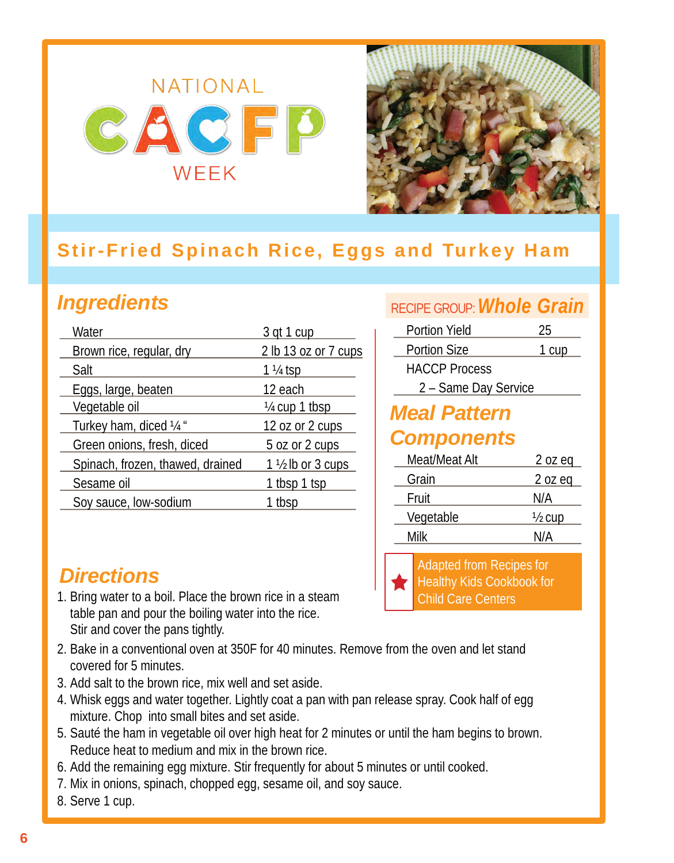

## <span id="page-5-0"></span>**Stir-Fried Spinach Rice, Eggs and Turkey Ham**

# *Ingredients*

| Water                            | 3 gt 1 cup                  |
|----------------------------------|-----------------------------|
| Brown rice, regular, dry         | 2 lb 13 oz or 7 cups        |
| Salt                             | $1\frac{1}{4}$ tsp          |
| Eggs, large, beaten              | 12 each                     |
| Vegetable oil                    | $\frac{1}{4}$ cup 1 tbsp    |
| Turkey ham, diced 1/4 "          | 12 oz or 2 cups             |
| Green onions, fresh, diced       | 5 oz or 2 cups              |
| Spinach, frozen, thawed, drained | $1\frac{1}{2}$ lb or 3 cups |
| Sesame oil                       | 1 tbsp 1 tsp                |
| Soy sauce, low-sodium            | tbsp                        |

## *Directions*

- 1. Bring water to a boil. Place the brown rice in a steam table pan and pour the boiling water into the rice. Stir and cover the pans tightly.
- 2. Bake in a conventional oven at 350F for 40 minutes. Remove from the oven and let stand covered for 5 minutes.
- 3. Add salt to the brown rice, mix well and set aside.
- 4. Whisk eggs and water together. Lightly coat a pan with pan release spray. Cook half of egg mixture. Chop into small bites and set aside.
- 5. Sauté the ham in vegetable oil over high heat for 2 minutes or until the ham begins to brown. Reduce heat to medium and mix in the brown rice.
- 6. Add the remaining egg mixture. Stir frequently for about 5 minutes or until cooked.
- 7. Mix in onions, spinach, chopped egg, sesame oil, and soy sauce.
- 8. Serve 1 cup.

#### RECIPE GROUP:*Whole Grain*

| <b>Portion Yield</b> | 25    |
|----------------------|-------|
| <b>Portion Size</b>  | 1 cup |
| <b>HACCP Process</b> |       |
| 2 - Same Day Service |       |
| $-4$                 |       |

#### *Meal Pattern Components*

| Meat/Meat Alt | $2$ oz eq         |
|---------------|-------------------|
| Grain         | 2 oz eq           |
| Fruit         | N/A               |
| Vegetable     | $\frac{1}{2}$ cup |
| Milk          | N/A               |

Adapted from Recipes for Healthy Kids Cookbook for Child Care Centers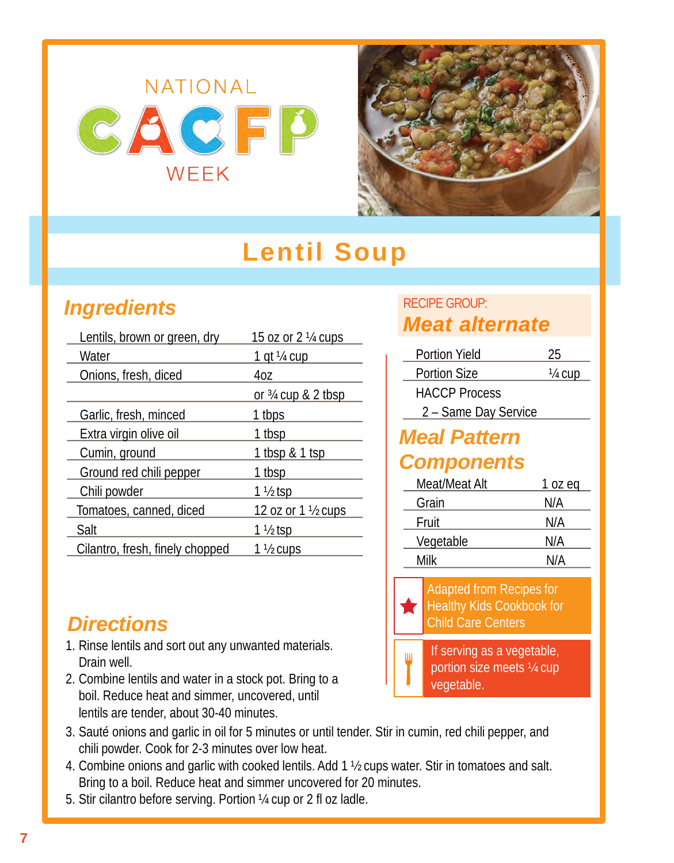

# **Lentil Soup**

## <span id="page-6-0"></span>*Ingredients*

| Lentils, brown or green, dry    | 15 oz or 2 1/4 cups           |
|---------------------------------|-------------------------------|
| Water                           | 1 qt ¼ cup                    |
| Onions, fresh, diced            | 4oz                           |
|                                 | <u>or 34 cup &amp; 2 tbsp</u> |
| Garlic, fresh, minced           | 1 tbps                        |
| Extra virgin olive oil          | 1 tbsp                        |
| Cumin, ground                   | 1 tbsp & 1 tsp                |
| Ground red chili pepper         | 1 tbsp                        |
| Chili powder                    | $1\frac{1}{2}$ tsp            |
| Tomatoes, canned, diced         | 12 oz or 1 1/2 cups           |
| Salt                            | 1 ½ tsp                       |
| Cilantro, fresh, finely chopped | 1 ½ cups                      |
|                                 |                               |

#### *Directions*

- 1. Rinse lentils and sort out any unwanted materials. Drain well.
- 2. Combine lentils and water in a stock pot. Bring to a boil. Reduce heat and simmer, uncovered, until lentils are tender, about 30-40 minutes.
- 3. Sauté onions and garlic in oil for 5 minutes or until tender. Stir in cumin, red chili pepper, and chili powder. Cook for 2-3 minutes over low heat.
- 4. Combine onions and garlic with cooked lentils. Add 1 ½ cups water. Stir in tomatoes and salt. Bring to a boil. Reduce heat and simmer uncovered for 20 minutes.
- 5. Stir cilantro before serving. Portion ¼ cup or 2 fl oz ladle.

#### RECIPE GROUP: *Meat alternate*

| <b>Portion Yield</b> | 25      |  |  |
|----------------------|---------|--|--|
| <b>Portion Size</b>  | 1/4 cup |  |  |
| <b>HACCP Process</b> |         |  |  |
| 2 - Same Day Service |         |  |  |
| <b>Meal Pattern</b>  |         |  |  |
| <b>Components</b>    |         |  |  |
| Meat/Meat Alt        | 1 oz eg |  |  |
| Grain                | N/A     |  |  |
| Fruit                | N/A     |  |  |
| Vegetable            | N/A     |  |  |



Adapted from Recipes for Healthy Kids Cookbook for Child Care Centers

Milk N/A

If serving as a vegetable, portion size meets ¼ cup vegetable.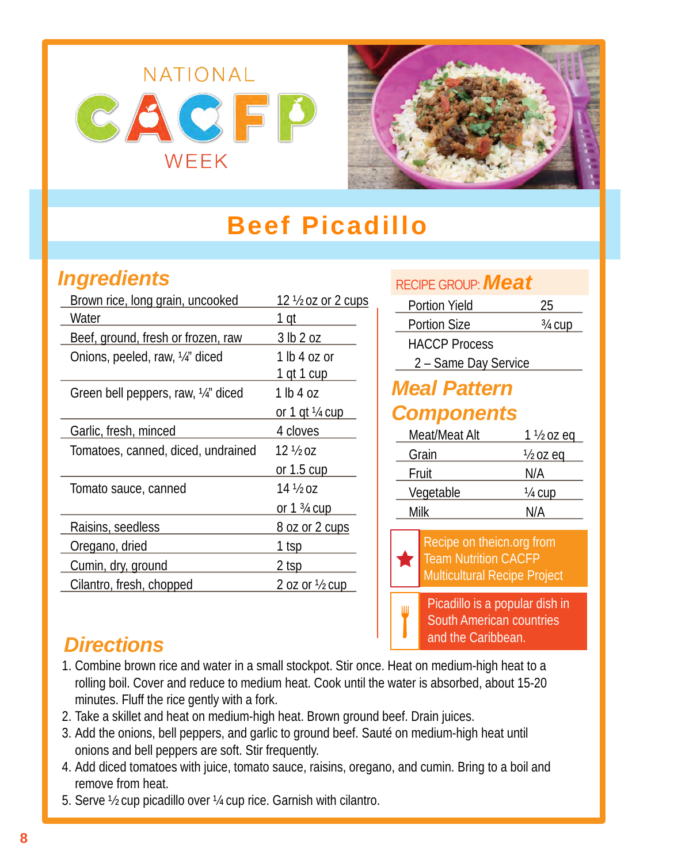<span id="page-7-0"></span>



# **Beef Picadillo**

#### *Ingredients*

| Brown rice, long grain, uncooked   | 12 1/2 oz or 2 cups                  |
|------------------------------------|--------------------------------------|
| Water                              | 1 qt                                 |
| Beef, ground, fresh or frozen, raw | 3 lb 2 oz                            |
| Onions, peeled, raw, 1/4" diced    | 1 lb 4 oz or                         |
|                                    | <u>1 qt 1 cup</u>                    |
| Green bell peppers, raw, ¼" diced  | 1 lb 4 oz                            |
|                                    | or 1 gt $\frac{1}{4}$ cup            |
| Garlic, fresh, minced              | 4 cloves                             |
| Tomatoes, canned, diced, undrained | $12\frac{1}{2}$ oz                   |
|                                    | or $1.5 \text{ cup}$                 |
| Tomato sauce, canned               | 14 ½ იz                              |
|                                    | or 1 <sup>3</sup> / <sub>4</sub> cup |
| Raisins, seedless                  | 8 oz or 2 cups                       |
| Oregano, dried                     | 1 tsp                                |
| Cumin, dry, ground                 | 2 tsp                                |
| Cilantro, fresh, chopped           | 2 oz or $\frac{1}{2}$ cup            |

| RECIPE GROUP: <b>Meat</b>                                                                       |                                                                                         |                     |  |
|-------------------------------------------------------------------------------------------------|-----------------------------------------------------------------------------------------|---------------------|--|
|                                                                                                 | <b>Portion Yield</b>                                                                    | 25                  |  |
|                                                                                                 | Portion Size                                                                            | 3/ <sub>4</sub> cup |  |
|                                                                                                 | <b>HACCP Process</b>                                                                    |                     |  |
|                                                                                                 | 2 - Same Day Service                                                                    |                     |  |
|                                                                                                 | <b>Meal Pattern</b>                                                                     |                     |  |
|                                                                                                 | <b>Components</b>                                                                       |                     |  |
|                                                                                                 | Meat/Meat Alt                                                                           | 1 ½ oz eq           |  |
|                                                                                                 | Grain                                                                                   | <u>½ oz eq</u>      |  |
| Fruit                                                                                           |                                                                                         | N/A                 |  |
| Vegetable                                                                                       |                                                                                         | 1/4 cup             |  |
| Milk                                                                                            |                                                                                         | N/A                 |  |
| Recipe on theicn.org from<br><b>Team Nutrition CACFP</b><br><b>Multicultural Recipe Project</b> |                                                                                         |                     |  |
| Ш                                                                                               | Picadillo is a popular dish in<br><b>South American countries</b><br>and the Caribbean. |                     |  |

### *Directions*

- 1. Combine brown rice and water in a small stockpot. Stir once. Heat on medium-high heat to a rolling boil. Cover and reduce to medium heat. Cook until the water is absorbed, about 15-20 minutes. Fluff the rice gently with a fork.
- 2. Take a skillet and heat on medium-high heat. Brown ground beef. Drain juices.
- 3. Add the onions, bell peppers, and garlic to ground beef. Sauté on medium-high heat until onions and bell peppers are soft. Stir frequently.
- 4. Add diced tomatoes with juice, tomato sauce, raisins, oregano, and cumin. Bring to a boil and remove from heat.
- 5. Serve ½ cup picadillo over ¼ cup rice. Garnish with cilantro.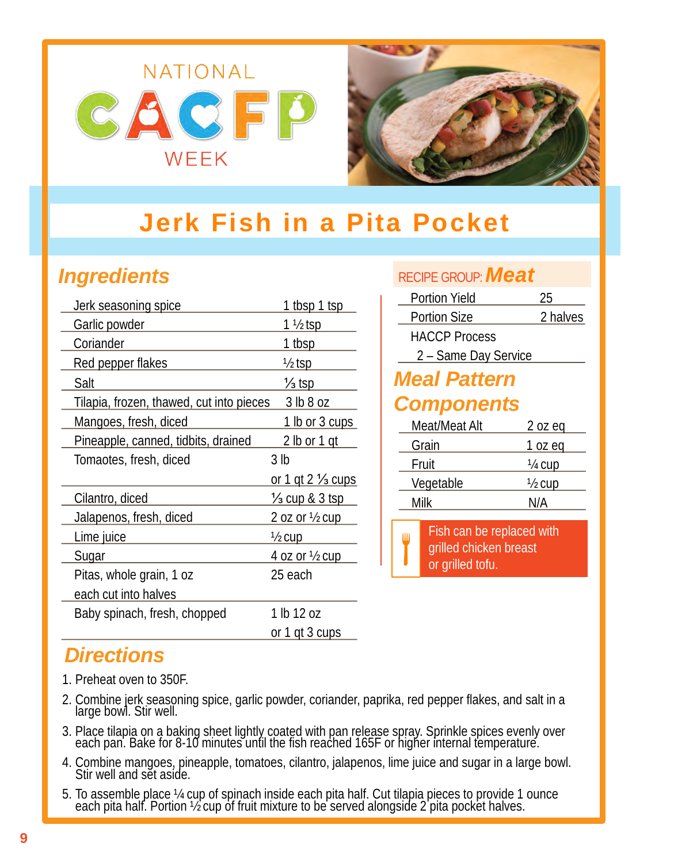<span id="page-8-0"></span>



# **Jerk Fish in a Pita Pocket**

### *Ingredients*

| Jerk seasoning spice                     | 1 tbsp 1 tsp                 |
|------------------------------------------|------------------------------|
| Garlic powder                            | <u>1 ½ tsp</u>               |
| Coriander                                | <u>1 tbsp</u>                |
| Red pepper flakes                        | <u>½ tsp</u>                 |
| Salt                                     | ½ tsp                        |
| Tilapia, frozen, thawed, cut into pieces | 3 lb 8 oz                    |
| Mangoes, fresh, diced                    | <u>1 lb or 3 cups</u>        |
| Pineapple, canned, tidbits, drained      | <u>2 lb or 1 gt</u>          |
| Tomaotes, fresh, diced                   | 3 <sub>lb</sub>              |
|                                          |                              |
|                                          | or 1 gt 2 $\frac{1}{3}$ cups |
| Cilantro, diced                          | <u>½ cup &amp; 3 tsp</u>     |
| Jalapenos, fresh, diced                  | <u>2 oz or ½ cup</u>         |
| Lime juice                               | <u>½ cup</u>                 |
| <u>Sugar</u>                             | <u>4 oz or ½ cup</u>         |
| Pitas, whole grain, 1 oz                 | 25 each                      |
| each cut into halves                     |                              |
| Baby spinach, fresh, chopped             | 1 lb 12 oz                   |

| RECIPE GROUP: <b>Meat</b> |                                                                         |                |  |  |
|---------------------------|-------------------------------------------------------------------------|----------------|--|--|
|                           | Portion Yield                                                           | 25             |  |  |
|                           | <b>Portion Size</b>                                                     | 2 halves       |  |  |
|                           | <b>HACCP Process</b>                                                    |                |  |  |
| 2 - Same Day Service      |                                                                         |                |  |  |
| <b>Meal Pattern</b>       |                                                                         |                |  |  |
| <b>Components</b>         |                                                                         |                |  |  |
|                           | Meat/Meat Alt                                                           | $2$ oz eq      |  |  |
|                           | Grain                                                                   | 1 oz eq        |  |  |
|                           | Fruit                                                                   | <u>1/4 cup</u> |  |  |
|                           | Vegetable                                                               | <u>½ cup</u>   |  |  |
| Milk                      |                                                                         | N/A            |  |  |
| Ш                         | Fish can be replaced with<br>grilled chicken breast<br>or grilled tofu. |                |  |  |

### *Directions*

- 1. Preheat oven to 350F.
- 2. Combine jerk seasoning spice, garlic powder, coriander, paprika, red pepper flakes, and salt in a large bowl. Stir well.
- 3. Place tilapia on a baking sheet lightly coated with pan release spray. Sprinkle spices evenly over each pan. Bake for 8-10 minutes until the fish reached 165F or higher internal temperature.
- 4. Combine mangoes, pineapple, tomatoes, cilantro, jalapenos, lime juice and sugar in a large bowl. Stir well and sĕt asíde.
- 5. To assemble place ¼ cup of spinach inside each pita half. Cut tilapia pieces to provide 1 ounce each pita half. Portion ½ cup of fruit mixture to be served alongside 2 pita pocket halves.